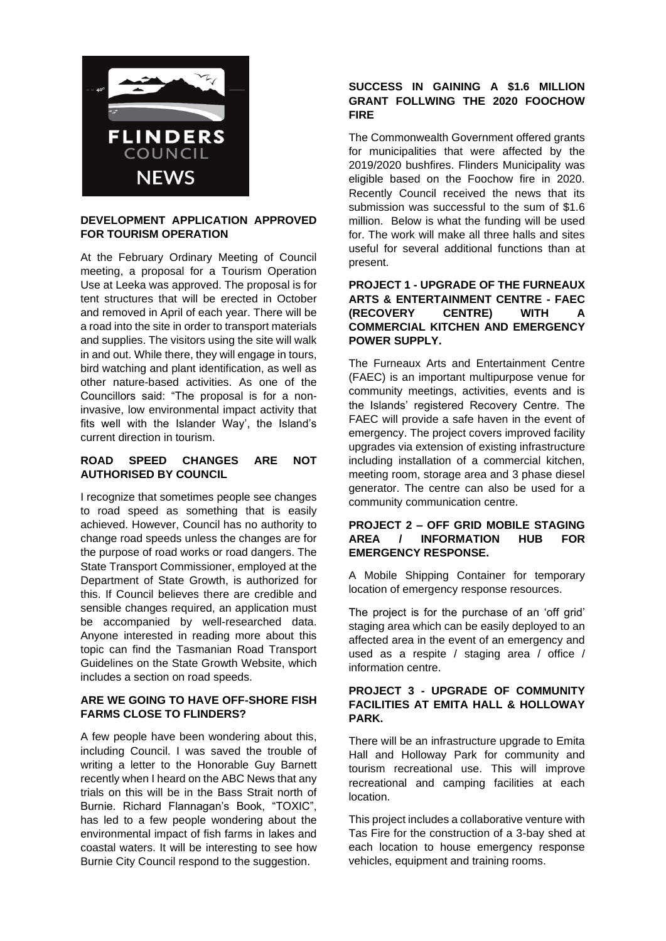

### **DEVELOPMENT APPLICATION APPROVED FOR TOURISM OPERATION**

At the February Ordinary Meeting of Council meeting, a proposal for a Tourism Operation Use at Leeka was approved. The proposal is for tent structures that will be erected in October and removed in April of each year. There will be a road into the site in order to transport materials and supplies. The visitors using the site will walk in and out. While there, they will engage in tours, bird watching and plant identification, as well as other nature-based activities. As one of the Councillors said: "The proposal is for a noninvasive, low environmental impact activity that fits well with the Islander Way', the Island's current direction in tourism.

# **ROAD SPEED CHANGES ARE NOT AUTHORISED BY COUNCIL**

I recognize that sometimes people see changes to road speed as something that is easily achieved. However, Council has no authority to change road speeds unless the changes are for the purpose of road works or road dangers. The State Transport Commissioner, employed at the Department of State Growth, is authorized for this. If Council believes there are credible and sensible changes required, an application must be accompanied by well-researched data. Anyone interested in reading more about this topic can find the Tasmanian Road Transport Guidelines on the State Growth Website, which includes a section on road speeds.

# **ARE WE GOING TO HAVE OFF-SHORE FISH FARMS CLOSE TO FLINDERS?**

A few people have been wondering about this, including Council. I was saved the trouble of writing a letter to the Honorable Guy Barnett recently when I heard on the ABC News that any trials on this will be in the Bass Strait north of Burnie. Richard Flannagan's Book, "TOXIC", has led to a few people wondering about the environmental impact of fish farms in lakes and coastal waters. It will be interesting to see how Burnie City Council respond to the suggestion.

# **SUCCESS IN GAINING A \$1.6 MILLION GRANT FOLLWING THE 2020 FOOCHOW FIRE**

The Commonwealth Government offered grants for municipalities that were affected by the 2019/2020 bushfires. Flinders Municipality was eligible based on the Foochow fire in 2020. Recently Council received the news that its submission was successful to the sum of \$1.6 million. Below is what the funding will be used for. The work will make all three halls and sites useful for several additional functions than at present.

# **PROJECT 1 - UPGRADE OF THE FURNEAUX ARTS & ENTERTAINMENT CENTRE - FAEC (RECOVERY CENTRE) WITH A COMMERCIAL KITCHEN AND EMERGENCY POWER SUPPLY.**

The Furneaux Arts and Entertainment Centre (FAEC) is an important multipurpose venue for community meetings, activities, events and is the Islands' registered Recovery Centre. The FAEC will provide a safe haven in the event of emergency. The project covers improved facility upgrades via extension of existing infrastructure including installation of a commercial kitchen, meeting room, storage area and 3 phase diesel generator. The centre can also be used for a community communication centre.

# **PROJECT 2 – OFF GRID MOBILE STAGING AREA / INFORMATION HUB FOR EMERGENCY RESPONSE.**

A Mobile Shipping Container for temporary location of emergency response resources.

The project is for the purchase of an 'off grid' staging area which can be easily deployed to an affected area in the event of an emergency and used as a respite / staging area / office / information centre.

# **PROJECT 3 - UPGRADE OF COMMUNITY FACILITIES AT EMITA HALL & HOLLOWAY PARK.**

There will be an infrastructure upgrade to Emita Hall and Holloway Park for community and tourism recreational use. This will improve recreational and camping facilities at each location.

This project includes a collaborative venture with Tas Fire for the construction of a 3-bay shed at each location to house emergency response vehicles, equipment and training rooms.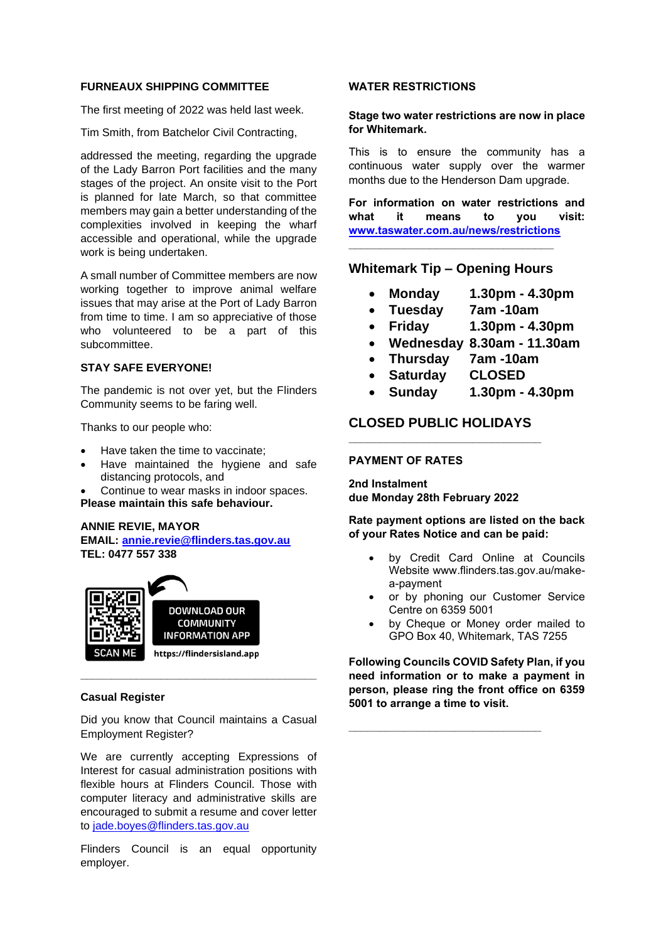#### **FURNEAUX SHIPPING COMMITTEE**

The first meeting of 2022 was held last week.

Tim Smith, from Batchelor Civil Contracting,

addressed the meeting, regarding the upgrade of the Lady Barron Port facilities and the many stages of the project. An onsite visit to the Port is planned for late March, so that committee members may gain a better understanding of the complexities involved in keeping the wharf accessible and operational, while the upgrade work is being undertaken.

A small number of Committee members are now working together to improve animal welfare issues that may arise at the Port of Lady Barron from time to time. I am so appreciative of those who volunteered to be a part of this subcommittee.

# **STAY SAFE EVERYONE!**

The pandemic is not over yet, but the Flinders Community seems to be faring well.

Thanks to our people who:

- Have taken the time to vaccinate;
- Have maintained the hygiene and safe distancing protocols, and

• Continue to wear masks in indoor spaces.

**Please maintain this safe behaviour.** 

#### **ANNIE REVIE, MAYOR**

**EMAIL: [annie.revie@flinders.tas.gov.au](mailto:annie.revie@flinders.tas.gov.au) TEL: 0477 557 338**



# **Casual Register**

Did you know that Council maintains a Casual Employment Register?

**\_\_\_\_\_\_\_\_\_\_\_\_\_\_\_\_\_\_\_\_\_\_\_\_\_\_\_\_\_\_\_\_\_\_\_\_\_\_**

We are currently accepting Expressions of Interest for casual administration positions with flexible hours at Flinders Council. Those with computer literacy and administrative skills are encouraged to submit a resume and cover letter to [jade.boyes@flinders.tas.gov.au](mailto:jade.boyes@flinders.tas.gov.au)

Flinders Council is an equal opportunity employer.

#### **WATER RESTRICTIONS**

### **Stage two water restrictions are now in place for Whitemark.**

This is to ensure the community has a continuous water supply over the warmer months due to the Henderson Dam upgrade.

**For information on water restrictions and what it means to you visit: [www.taswater.com.au/news/restrictions](http://www.taswater.com.au/news/restrictions)**

# **Whitemark Tip – Opening Hours**

**\_\_\_\_\_\_\_\_\_\_\_\_\_\_\_\_\_\_\_\_\_\_\_\_\_\_\_\_\_\_\_\_\_**

- **Monday 1.30pm - 4.30pm**
- **Tuesday 7am -10am**
- **Friday 1.30pm - 4.30pm**
- **Wednesday 8.30am - 11.30am**
- **Thursday 7am -10am**
- **Saturday CLOSED**
- **Sunday 1.30pm - 4.30pm**

# **CLOSED PUBLIC HOLIDAYS \_\_\_\_\_\_\_\_\_\_\_\_\_\_\_\_\_\_\_\_\_\_\_\_\_\_\_\_\_\_\_**

#### **PAYMENT OF RATES**

**2nd Instalment due Monday 28th February 2022**

**Rate payment options are listed on the back of your Rates Notice and can be paid:**

- by Credit Card Online at Councils Website www.flinders.tas.gov.au/makea-payment
- or by phoning our Customer Service Centre on 6359 5001
- by Cheque or Money order mailed to GPO Box 40, Whitemark, TAS 7255

**Following Councils COVID Safety Plan, if you need information or to make a payment in person, please ring the front office on 6359 5001 to arrange a time to visit.**

**\_\_\_\_\_\_\_\_\_\_\_\_\_\_\_\_\_\_\_\_\_\_\_\_\_\_\_\_\_\_\_**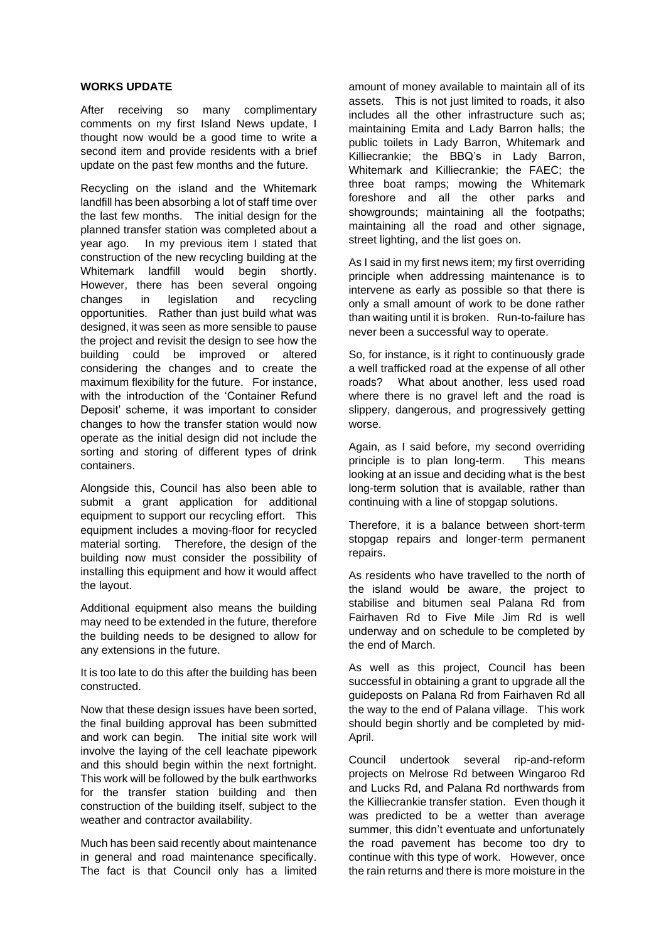#### **WORKS UPDATE**

After receiving so many complimentary comments on my first Island News update, I thought now would be a good time to write a second item and provide residents with a brief update on the past few months and the future.

Recycling on the island and the Whitemark landfill has been absorbing a lot of staff time over the last few months. The initial design for the planned transfer station was completed about a year ago. In my previous item I stated that construction of the new recycling building at the Whitemark landfill would begin shortly. However, there has been several ongoing changes in legislation and recycling opportunities. Rather than just build what was designed, it was seen as more sensible to pause the project and revisit the design to see how the building could be improved or altered considering the changes and to create the maximum flexibility for the future. For instance, with the introduction of the 'Container Refund Deposit' scheme, it was important to consider changes to how the transfer station would now operate as the initial design did not include the sorting and storing of different types of drink containers.

Alongside this, Council has also been able to submit a grant application for additional equipment to support our recycling effort. This equipment includes a moving-floor for recycled material sorting. Therefore, the design of the building now must consider the possibility of installing this equipment and how it would affect the layout.

Additional equipment also means the building may need to be extended in the future, therefore the building needs to be designed to allow for any extensions in the future.

It is too late to do this after the building has been constructed.

Now that these design issues have been sorted, the final building approval has been submitted and work can begin. The initial site work will involve the laying of the cell leachate pipework and this should begin within the next fortnight. This work will be followed by the bulk earthworks for the transfer station building and then construction of the building itself, subject to the weather and contractor availability.

Much has been said recently about maintenance in general and road maintenance specifically. The fact is that Council only has a limited amount of money available to maintain all of its assets. This is not just limited to roads, it also includes all the other infrastructure such as; maintaining Emita and Lady Barron halls; the public toilets in Lady Barron, Whitemark and Killiecrankie; the BBQ's in Lady Barron, Whitemark and Killiecrankie; the FAEC; the three boat ramps; mowing the Whitemark foreshore and all the other parks and showgrounds; maintaining all the footpaths; maintaining all the road and other signage, street lighting, and the list goes on.

As I said in my first news item; my first overriding principle when addressing maintenance is to intervene as early as possible so that there is only a small amount of work to be done rather than waiting until it is broken. Run-to-failure has never been a successful way to operate.

So, for instance, is it right to continuously grade a well trafficked road at the expense of all other roads? What about another, less used road where there is no gravel left and the road is slippery, dangerous, and progressively getting worse.

Again, as I said before, my second overriding principle is to plan long-term. This means looking at an issue and deciding what is the best long-term solution that is available, rather than continuing with a line of stopgap solutions.

Therefore, it is a balance between short-term stopgap repairs and longer-term permanent repairs.

As residents who have travelled to the north of the island would be aware, the project to stabilise and bitumen seal Palana Rd from Fairhaven Rd to Five Mile Jim Rd is well underway and on schedule to be completed by the end of March.

As well as this project, Council has been successful in obtaining a grant to upgrade all the guideposts on Palana Rd from Fairhaven Rd all the way to the end of Palana village. This work should begin shortly and be completed by mid-April.

Council undertook several rip-and-reform projects on Melrose Rd between Wingaroo Rd and Lucks Rd, and Palana Rd northwards from the Killiecrankie transfer station. Even though it was predicted to be a wetter than average summer, this didn't eventuate and unfortunately the road pavement has become too dry to continue with this type of work. However, once the rain returns and there is more moisture in the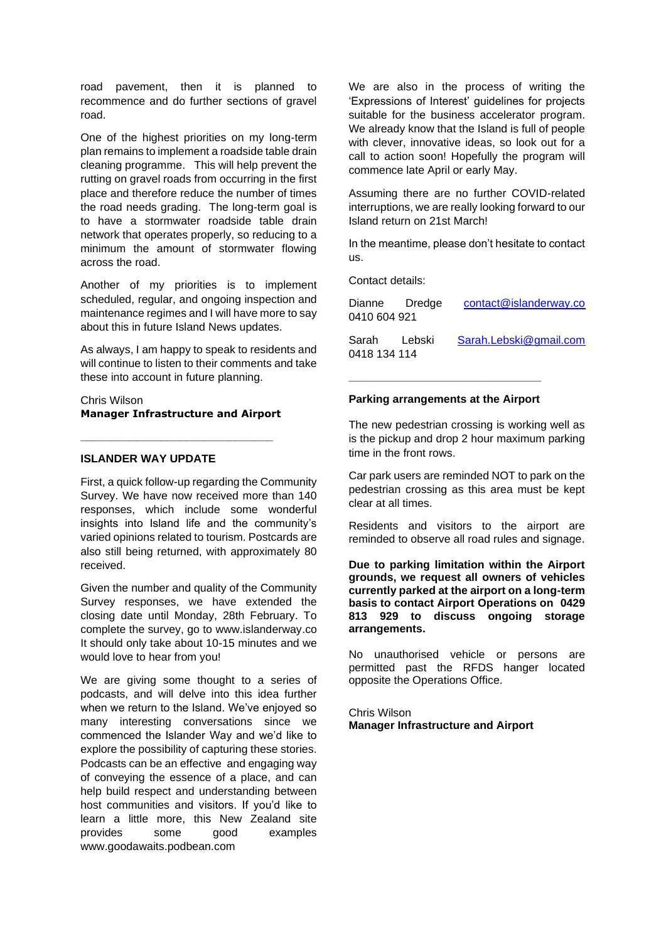road pavement, then it is planned to recommence and do further sections of gravel road.

One of the highest priorities on my long-term plan remains to implement a roadside table drain cleaning programme. This will help prevent the rutting on gravel roads from occurring in the first place and therefore reduce the number of times the road needs grading. The long-term goal is to have a stormwater roadside table drain network that operates properly, so reducing to a minimum the amount of stormwater flowing across the road.

Another of my priorities is to implement scheduled, regular, and ongoing inspection and maintenance regimes and I will have more to say about this in future Island News updates.

As always, I am happy to speak to residents and will continue to listen to their comments and take these into account in future planning.

Chris Wilson **Manager Infrastructure and Airport**

**\_\_\_\_\_\_\_\_\_\_\_\_\_\_\_\_\_\_\_\_\_\_\_\_\_\_\_\_\_\_\_**

# **ISLANDER WAY UPDATE**

First, a quick follow-up regarding the Community Survey. We have now received more than 140 responses, which include some wonderful insights into Island life and the community's varied opinions related to tourism. Postcards are also still being returned, with approximately 80 received.

Given the number and quality of the Community Survey responses, we have extended the closing date until Monday, 28th February. To complete the survey, go to www.islanderway.co It should only take about 10-15 minutes and we would love to hear from you!

We are giving some thought to a series of podcasts, and will delve into this idea further when we return to the Island. We've enjoyed so many interesting conversations since we commenced the Islander Way and we'd like to explore the possibility of capturing these stories. Podcasts can be an effective and engaging way of conveying the essence of a place, and can help build respect and understanding between host communities and visitors. If you'd like to learn a little more, this New Zealand site provides some good examples www.goodawaits.podbean.com

We are also in the process of writing the 'Expressions of Interest' guidelines for projects suitable for the business accelerator program. We already know that the Island is full of people with clever, innovative ideas, so look out for a call to action soon! Hopefully the program will commence late April or early May.

Assuming there are no further COVID-related interruptions, we are really looking forward to our Island return on 21st March!

In the meantime, please don't hesitate to contact us.

Contact details:

| Dianne Dredge<br>0410 604 921 | contact@islanderway.co |
|-------------------------------|------------------------|
| Sarah Lebski<br>0418 134 114  | Sarah.Lebski@gmail.com |

#### **Parking arrangements at the Airport**

**\_\_\_\_\_\_\_\_\_\_\_\_\_\_\_\_\_\_\_\_\_\_\_\_\_\_\_\_\_\_\_**

The new pedestrian crossing is working well as is the pickup and drop 2 hour maximum parking time in the front rows.

Car park users are reminded NOT to park on the pedestrian crossing as this area must be kept clear at all times.

Residents and visitors to the airport are reminded to observe all road rules and signage.

**Due to parking limitation within the Airport grounds, we request all owners of vehicles currently parked at the airport on a long-term basis to contact Airport Operations on 0429 813 929 to discuss ongoing storage arrangements.**

No unauthorised vehicle or persons are permitted past the RFDS hanger located opposite the Operations Office.

Chris Wilson **Manager Infrastructure and Airport**